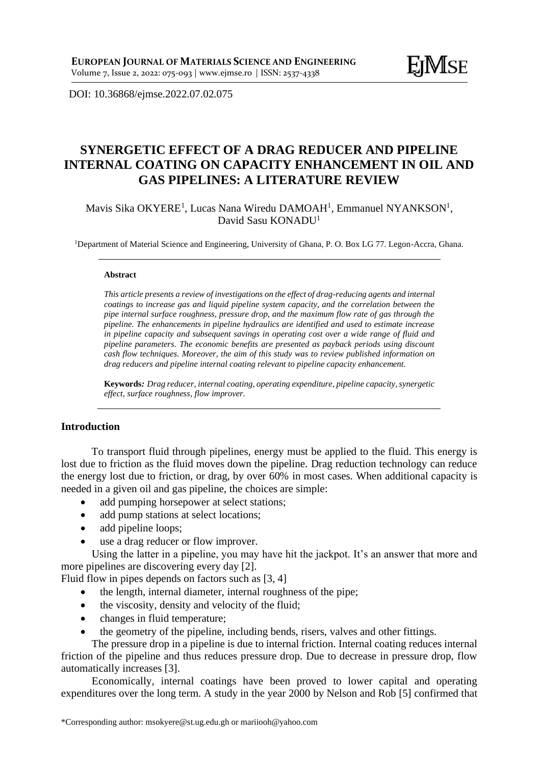DOI: [10.36868/ejmse.2022.07.02.07](http://ejmse.ro/articles/07_02_01_EJMSE-22-159.pdf)5

# **SYNERGETIC EFFECT OF A DRAG REDUCER AND PIPELINE INTERNAL COATING ON CAPACITY ENHANCEMENT IN OIL AND GAS PIPELINES: A LITERATURE REVIEW**

Mavis Sika OKYERE<sup>1</sup>, Lucas Nana Wiredu DAMOAH<sup>1</sup>, Emmanuel NYANKSON<sup>1</sup>, David Sasu KONADU<sup>1</sup>

<sup>1</sup>Department of Material Science and Engineering, University of Ghana, P. O. Box LG 77. Legon-Accra, Ghana.

#### **Abstract**

*This article presents a review of investigations on the effect of drag-reducing agents and internal coatings to increase gas and liquid pipeline system capacity, and the correlation between the pipe internal surface roughness, pressure drop, and the maximum flow rate of gas through the pipeline. The enhancements in pipeline hydraulics are identified and used to estimate increase in pipeline capacity and subsequent savings in operating cost over a wide range of fluid and pipeline parameters. The economic benefits are presented as payback periods using discount cash flow techniques. Moreover, the aim of this study was to review published information on drag reducers and pipeline internal coating relevant to pipeline capacity enhancement.*

**Keywords***: Drag reducer, internal coating, operating expenditure, pipeline capacity, synergetic effect, surface roughness, flow improver.*

# **Introduction**

To transport fluid through pipelines, energy must be applied to the fluid. This energy is lost due to friction as the fluid moves down the pipeline. Drag reduction technology can reduce the energy lost due to friction, or drag, by over 60% in most cases. When additional capacity is needed in a given oil and gas pipeline, the choices are simple:

- add pumping horsepower at select stations;
- add pump stations at select locations;
- add pipeline loops;
- use a drag reducer or flow improver.

Using the latter in a pipeline, you may have hit the jackpot. It's an answer that more and more pipelines are discovering every day [2].

Fluid flow in pipes depends on factors such as [3, 4]

- the length, internal diameter, internal roughness of the pipe;
- the viscosity, density and velocity of the fluid;
- changes in fluid temperature;
- the geometry of the pipeline, including bends, risers, valves and other fittings.

The pressure drop in a pipeline is due to internal friction. Internal coating reduces internal friction of the pipeline and thus reduces pressure drop. Due to decrease in pressure drop, flow automatically increases [3].

Economically, internal coatings have been proved to lower capital and operating expenditures over the long term. A study in the year 2000 by Nelson and Rob [5] confirmed that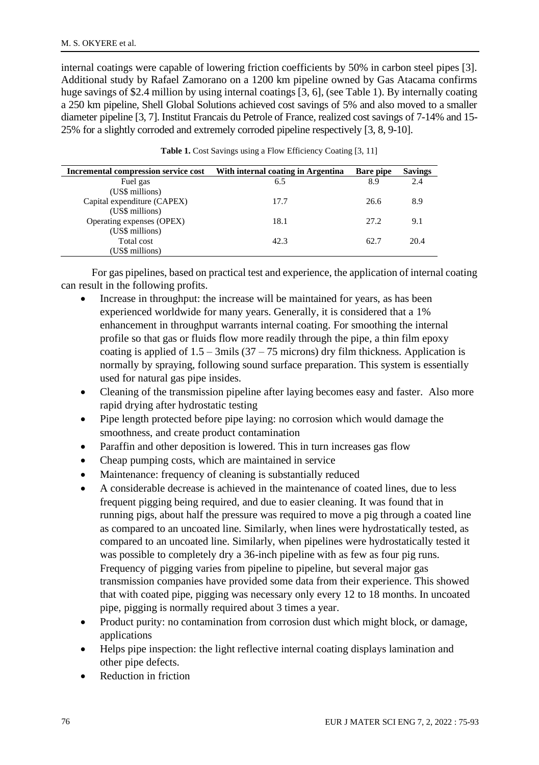internal coatings were capable of lowering friction coefficients by 50% in carbon steel pipes [3]. Additional study by Rafael Zamorano on a 1200 km pipeline owned by Gas Atacama confirms huge savings of \$2.4 million by using internal coatings [3, 6], (see Table 1). By internally coating a 250 km pipeline, Shell Global Solutions achieved cost savings of 5% and also moved to a smaller diameter pipeline [3, 7]. Institut Francais du Petrole of France, realized cost savings of 7-14% and 15- 25% for a slightly corroded and extremely corroded pipeline respectively [3, 8, 9-10].

| Incremental compression service cost | With internal coating in Argentina | Bare pipe | <b>Savings</b> |
|--------------------------------------|------------------------------------|-----------|----------------|
| Fuel gas                             | 6.5                                | 8.9       | 2.4            |
| (US\$ millions)                      |                                    |           |                |
| Capital expenditure (CAPEX)          | 17.7                               | 26.6      | 8.9            |
| (US\$ millions)                      |                                    |           |                |
| Operating expenses (OPEX)            | 18.1                               | 27.2      | 9.1            |
| (US\$ millions)                      |                                    |           |                |
| Total cost                           | 42.3                               | 62.7      | 20.4           |
| (US\$ millions)                      |                                    |           |                |

|  |  |  |  |  | <b>Table 1.</b> Cost Savings using a Flow Efficiency Coating [3, 11] |  |  |  |  |
|--|--|--|--|--|----------------------------------------------------------------------|--|--|--|--|
|--|--|--|--|--|----------------------------------------------------------------------|--|--|--|--|

For gas pipelines, based on practical test and experience, the application of internal coating can result in the following profits.

- Increase in throughput: the increase will be maintained for years, as has been experienced worldwide for many years. Generally, it is considered that a 1% enhancement in throughput warrants internal coating. For smoothing the internal profile so that gas or fluids flow more readily through the pipe, a thin film epoxy coating is applied of  $1.5 - 3$ mils (37 – 75 microns) dry film thickness. Application is normally by spraying, following sound surface preparation. This system is essentially used for natural gas pipe insides.
- Cleaning of the transmission pipeline after laying becomes easy and faster. Also more rapid drying after hydrostatic testing
- Pipe length protected before pipe laying: no corrosion which would damage the smoothness, and create product contamination
- Paraffin and other deposition is lowered. This in turn increases gas flow
- Cheap pumping costs, which are maintained in service
- Maintenance: frequency of cleaning is substantially reduced
- A considerable decrease is achieved in the maintenance of coated lines, due to less frequent pigging being required, and due to easier cleaning. It was found that in running pigs, about half the pressure was required to move a pig through a coated line as compared to an uncoated line. Similarly, when lines were hydrostatically tested, as compared to an uncoated line. Similarly, when pipelines were hydrostatically tested it was possible to completely dry a 36-inch pipeline with as few as four pig runs. Frequency of pigging varies from pipeline to pipeline, but several major gas transmission companies have provided some data from their experience. This showed that with coated pipe, pigging was necessary only every 12 to 18 months. In uncoated pipe, pigging is normally required about 3 times a year.
- Product purity: no contamination from corrosion dust which might block, or damage, applications
- Helps pipe inspection: the light reflective internal coating displays lamination and other pipe defects.
- Reduction in friction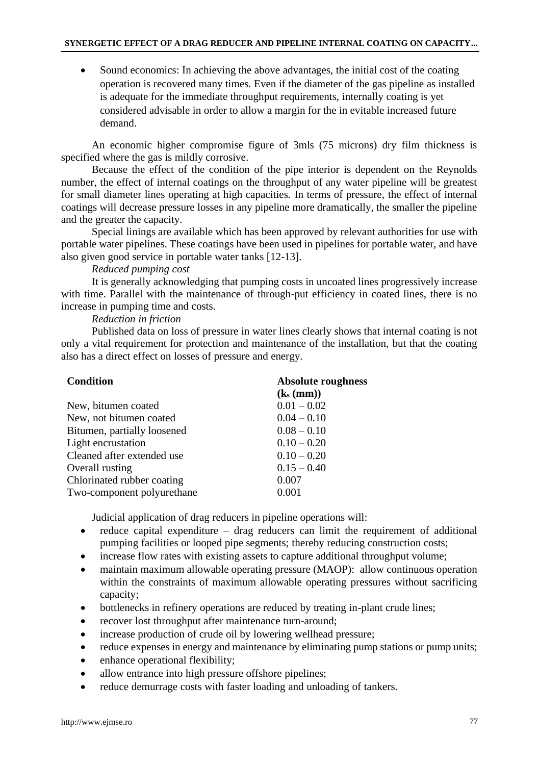• Sound economics: In achieving the above advantages, the initial cost of the coating operation is recovered many times. Even if the diameter of the gas pipeline as installed is adequate for the immediate throughput requirements, internally coating is yet considered advisable in order to allow a margin for the in evitable increased future demand.

An economic higher compromise figure of 3mls (75 microns) dry film thickness is specified where the gas is mildly corrosive.

Because the effect of the condition of the pipe interior is dependent on the Reynolds number, the effect of internal coatings on the throughput of any water pipeline will be greatest for small diameter lines operating at high capacities. In terms of pressure, the effect of internal coatings will decrease pressure losses in any pipeline more dramatically, the smaller the pipeline and the greater the capacity.

Special linings are available which has been approved by relevant authorities for use with portable water pipelines. These coatings have been used in pipelines for portable water, and have also given good service in portable water tanks [12-13].

*Reduced pumping cost*

It is generally acknowledging that pumping costs in uncoated lines progressively increase with time. Parallel with the maintenance of through-put efficiency in coated lines, there is no increase in pumping time and costs.

# *Reduction in friction*

Published data on loss of pressure in water lines clearly shows that internal coating is not only a vital requirement for protection and maintenance of the installation, but that the coating also has a direct effect on losses of pressure and energy.

| Condition                   | Absolute roughness |  |  |
|-----------------------------|--------------------|--|--|
|                             | $(k_s(mm))$        |  |  |
| New, bitumen coated         | $0.01 - 0.02$      |  |  |
| New, not bitumen coated.    | $0.04 - 0.10$      |  |  |
| Bitumen, partially loosened | $0.08 - 0.10$      |  |  |
| Light encrustation          | $0.10 - 0.20$      |  |  |
| Cleaned after extended use  | $0.10 - 0.20$      |  |  |
| Overall rusting             | $0.15 - 0.40$      |  |  |
| Chlorinated rubber coating  | 0.007              |  |  |
| Two-component polyurethane  | 0.001              |  |  |

Judicial application of drag reducers in pipeline operations will:

- reduce capital expenditure  $-$  drag reducers can limit the requirement of additional pumping facilities or looped pipe segments; thereby reducing construction costs;
- increase flow rates with existing assets to capture additional throughput volume;
- maintain maximum allowable operating pressure (MAOP): allow continuous operation within the constraints of maximum allowable operating pressures without sacrificing capacity;
- bottlenecks in refinery operations are reduced by treating in-plant crude lines;
- recover lost throughput after maintenance turn-around;
- increase production of crude oil by lowering wellhead pressure;
- reduce expenses in energy and maintenance by eliminating pump stations or pump units;
- enhance operational flexibility;
- allow entrance into high pressure offshore pipelines;
- reduce demurrage costs with faster loading and unloading of tankers.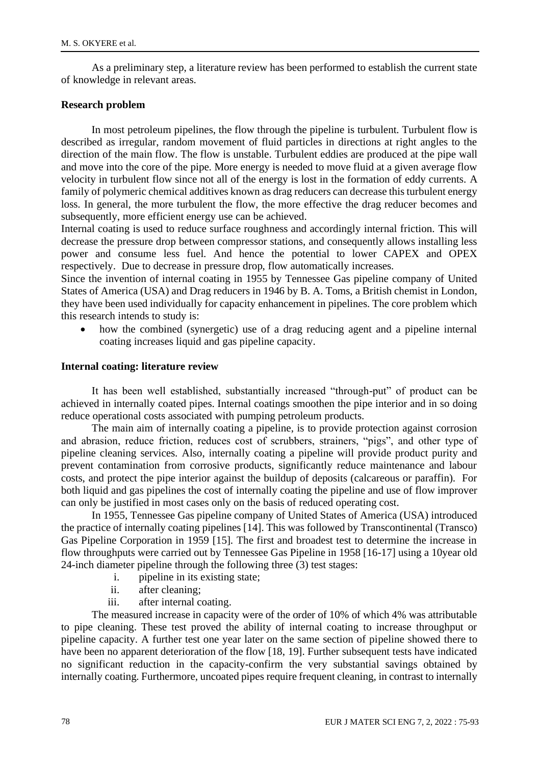As a preliminary step, a literature review has been performed to establish the current state of knowledge in relevant areas.

### **Research problem**

In most petroleum pipelines, the flow through the pipeline is turbulent. Turbulent flow is described as irregular, random movement of fluid particles in directions at right angles to the direction of the main flow. The flow is unstable. Turbulent eddies are produced at the pipe wall and move into the core of the pipe. More energy is needed to move fluid at a given average flow velocity in turbulent flow since not all of the energy is lost in the formation of eddy currents. A family of polymeric chemical additives known as drag reducers can decrease this turbulent energy loss. In general, the more turbulent the flow, the more effective the drag reducer becomes and subsequently, more efficient energy use can be achieved.

Internal coating is used to reduce surface roughness and accordingly internal friction. This will decrease the pressure drop between compressor stations, and consequently allows installing less power and consume less fuel. And hence the potential to lower CAPEX and OPEX respectively. Due to decrease in pressure drop, flow automatically increases.

Since the invention of internal coating in 1955 by Tennessee Gas pipeline company of United States of America (USA) and Drag reducers in 1946 by B. A. Toms, a British chemist in London, they have been used individually for capacity enhancement in pipelines. The core problem which this research intends to study is:

how the combined (synergetic) use of a drag reducing agent and a pipeline internal coating increases liquid and gas pipeline capacity.

# **Internal coating: literature review**

It has been well established, substantially increased "through-put" of product can be achieved in internally coated pipes. Internal coatings smoothen the pipe interior and in so doing reduce operational costs associated with pumping petroleum products.

The main aim of internally coating a pipeline, is to provide protection against corrosion and abrasion, reduce friction, reduces cost of scrubbers, strainers, "pigs", and other type of pipeline cleaning services. Also, internally coating a pipeline will provide product purity and prevent contamination from corrosive products, significantly reduce maintenance and labour costs, and protect the pipe interior against the buildup of deposits (calcareous or paraffin). For both liquid and gas pipelines the cost of internally coating the pipeline and use of flow improver can only be justified in most cases only on the basis of reduced operating cost.

In 1955, Tennessee Gas pipeline company of United States of America (USA) introduced the practice of internally coating pipelines [14]. This was followed by Transcontinental (Transco) Gas Pipeline Corporation in 1959 [15]. The first and broadest test to determine the increase in flow throughputs were carried out by Tennessee Gas Pipeline in 1958 [16-17] using a 10year old 24-inch diameter pipeline through the following three (3) test stages:

- i. pipeline in its existing state;
- ii. after cleaning;
- iii. after internal coating.

The measured increase in capacity were of the order of 10% of which 4% was attributable to pipe cleaning. These test proved the ability of internal coating to increase throughput or pipeline capacity. A further test one year later on the same section of pipeline showed there to have been no apparent deterioration of the flow [18, 19]. Further subsequent tests have indicated no significant reduction in the capacity-confirm the very substantial savings obtained by internally coating. Furthermore, uncoated pipes require frequent cleaning, in contrast to internally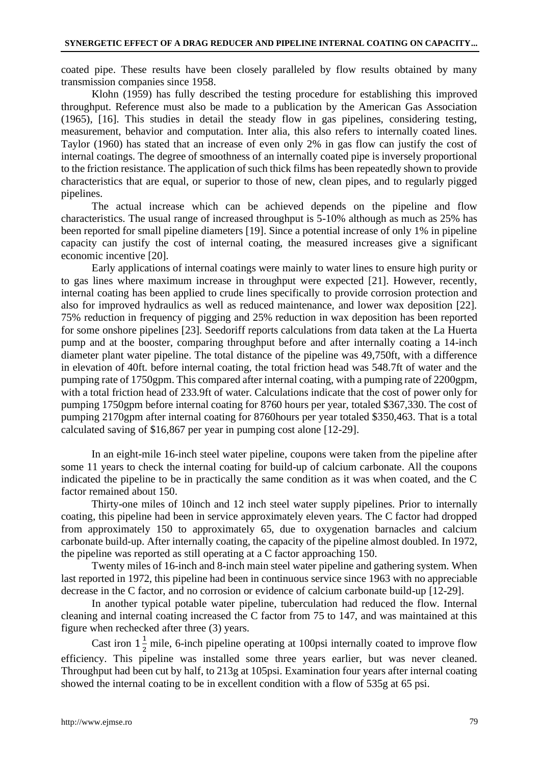coated pipe. These results have been closely paralleled by flow results obtained by many transmission companies since 1958.

Klohn (1959) has fully described the testing procedure for establishing this improved throughput. Reference must also be made to a publication by the American Gas Association (1965), [16]. This studies in detail the steady flow in gas pipelines, considering testing, measurement, behavior and computation. Inter alia, this also refers to internally coated lines. Taylor (1960) has stated that an increase of even only 2% in gas flow can justify the cost of internal coatings. The degree of smoothness of an internally coated pipe is inversely proportional to the friction resistance. The application of such thick films has been repeatedly shown to provide characteristics that are equal, or superior to those of new, clean pipes, and to regularly pigged pipelines.

The actual increase which can be achieved depends on the pipeline and flow characteristics. The usual range of increased throughput is 5-10% although as much as 25% has been reported for small pipeline diameters [19]. Since a potential increase of only 1% in pipeline capacity can justify the cost of internal coating, the measured increases give a significant economic incentive [20].

Early applications of internal coatings were mainly to water lines to ensure high purity or to gas lines where maximum increase in throughput were expected [21]. However, recently, internal coating has been applied to crude lines specifically to provide corrosion protection and also for improved hydraulics as well as reduced maintenance, and lower wax deposition [22]. 75% reduction in frequency of pigging and 25% reduction in wax deposition has been reported for some onshore pipelines [23]. Seedoriff reports calculations from data taken at the La Huerta pump and at the booster, comparing throughput before and after internally coating a 14-inch diameter plant water pipeline. The total distance of the pipeline was 49,750ft, with a difference in elevation of 40ft. before internal coating, the total friction head was 548.7ft of water and the pumping rate of 1750gpm. This compared after internal coating, with a pumping rate of 2200gpm, with a total friction head of 233.9ft of water. Calculations indicate that the cost of power only for pumping 1750gpm before internal coating for 8760 hours per year, totaled \$367,330. The cost of pumping 2170gpm after internal coating for 8760hours per year totaled \$350,463. That is a total calculated saving of \$16,867 per year in pumping cost alone [12-29].

In an eight-mile 16-inch steel water pipeline, coupons were taken from the pipeline after some 11 years to check the internal coating for build-up of calcium carbonate. All the coupons indicated the pipeline to be in practically the same condition as it was when coated, and the C factor remained about 150.

Thirty-one miles of 10inch and 12 inch steel water supply pipelines. Prior to internally coating, this pipeline had been in service approximately eleven years. The C factor had dropped from approximately 150 to approximately 65, due to oxygenation barnacles and calcium carbonate build-up. After internally coating, the capacity of the pipeline almost doubled. In 1972, the pipeline was reported as still operating at a C factor approaching 150.

Twenty miles of 16-inch and 8-inch main steel water pipeline and gathering system. When last reported in 1972, this pipeline had been in continuous service since 1963 with no appreciable decrease in the C factor, and no corrosion or evidence of calcium carbonate build-up [12-29].

In another typical potable water pipeline, tuberculation had reduced the flow. Internal cleaning and internal coating increased the C factor from 75 to 147, and was maintained at this figure when rechecked after three (3) years.

Cast iron  $1\frac{1}{2}$  mile, 6-inch pipeline operating at 100psi internally coated to improve flow efficiency. This pipeline was installed some three years earlier, but was never cleaned. Throughput had been cut by half, to 213g at 105psi. Examination four years after internal coating showed the internal coating to be in excellent condition with a flow of 535g at 65 psi.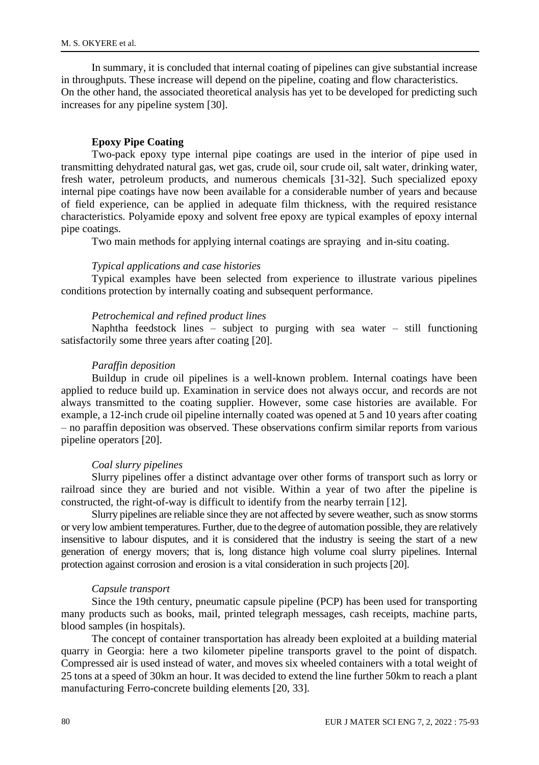In summary, it is concluded that internal coating of pipelines can give substantial increase in throughputs. These increase will depend on the pipeline, coating and flow characteristics. On the other hand, the associated theoretical analysis has yet to be developed for predicting such increases for any pipeline system [30].

# **Epoxy Pipe Coating**

Two-pack epoxy type internal pipe coatings are used in the interior of pipe used in transmitting dehydrated natural gas, wet gas, crude oil, sour crude oil, salt water, drinking water, fresh water, petroleum products, and numerous chemicals [31-32]. Such specialized epoxy internal pipe coatings have now been available for a considerable number of years and because of field experience, can be applied in adequate film thickness, with the required resistance characteristics. Polyamide epoxy and solvent free epoxy are typical examples of epoxy internal pipe coatings.

Two main methods for applying internal coatings are spraying and in-situ coating.

### *Typical applications and case histories*

Typical examples have been selected from experience to illustrate various pipelines conditions protection by internally coating and subsequent performance.

# *Petrochemical and refined product lines*

Naphtha feedstock lines – subject to purging with sea water – still functioning satisfactorily some three years after coating [20].

#### *Paraffin deposition*

Buildup in crude oil pipelines is a well-known problem. Internal coatings have been applied to reduce build up. Examination in service does not always occur, and records are not always transmitted to the coating supplier. However, some case histories are available. For example, a 12-inch crude oil pipeline internally coated was opened at 5 and 10 years after coating – no paraffin deposition was observed. These observations confirm similar reports from various pipeline operators [20].

### *Coal slurry pipelines*

Slurry pipelines offer a distinct advantage over other forms of transport such as lorry or railroad since they are buried and not visible. Within a year of two after the pipeline is constructed, the right-of-way is difficult to identify from the nearby terrain [12].

Slurry pipelines are reliable since they are not affected by severe weather, such as snow storms or very low ambient temperatures. Further, due to the degree of automation possible, they are relatively insensitive to labour disputes, and it is considered that the industry is seeing the start of a new generation of energy movers; that is, long distance high volume coal slurry pipelines. Internal protection against corrosion and erosion is a vital consideration in such projects [20].

### *Capsule transport*

Since the 19th century, pneumatic capsule pipeline (PCP) has been used for transporting many products such as books, mail, printed telegraph messages, cash receipts, machine parts, blood samples (in hospitals).

The concept of container transportation has already been exploited at a building material quarry in Georgia: here a two kilometer pipeline transports gravel to the point of dispatch. Compressed air is used instead of water, and moves six wheeled containers with a total weight of 25 tons at a speed of 30km an hour. It was decided to extend the line further 50km to reach a plant manufacturing Ferro-concrete building elements [20, 33].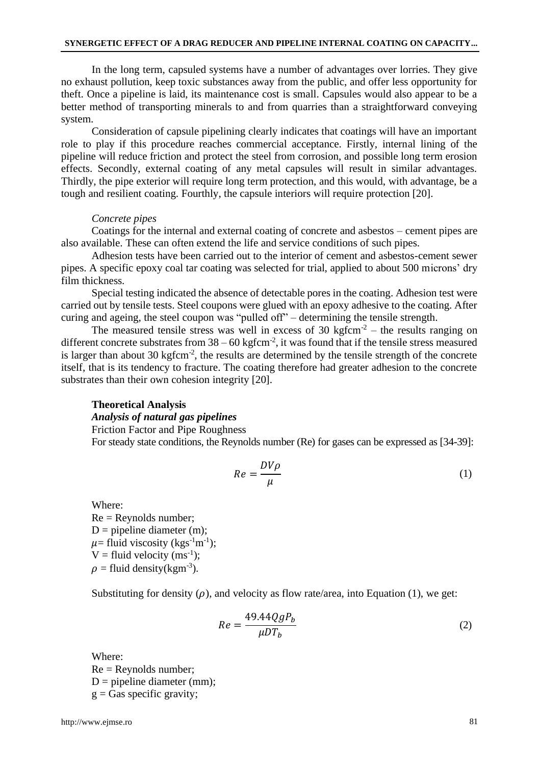In the long term, capsuled systems have a number of advantages over lorries. They give no exhaust pollution, keep toxic substances away from the public, and offer less opportunity for theft. Once a pipeline is laid, its maintenance cost is small. Capsules would also appear to be a better method of transporting minerals to and from quarries than a straightforward conveying system.

Consideration of capsule pipelining clearly indicates that coatings will have an important role to play if this procedure reaches commercial acceptance. Firstly, internal lining of the pipeline will reduce friction and protect the steel from corrosion, and possible long term erosion effects. Secondly, external coating of any metal capsules will result in similar advantages. Thirdly, the pipe exterior will require long term protection, and this would, with advantage, be a tough and resilient coating. Fourthly, the capsule interiors will require protection [20].

#### *Concrete pipes*

Coatings for the internal and external coating of concrete and asbestos – cement pipes are also available. These can often extend the life and service conditions of such pipes.

Adhesion tests have been carried out to the interior of cement and asbestos-cement sewer pipes. A specific epoxy coal tar coating was selected for trial, applied to about 500 microns' dry film thickness.

Special testing indicated the absence of detectable pores in the coating. Adhesion test were carried out by tensile tests. Steel coupons were glued with an epoxy adhesive to the coating. After curing and ageing, the steel coupon was "pulled off" – determining the tensile strength.

The measured tensile stress was well in excess of 30 kg fcm<sup>-2</sup> – the results ranging on different concrete substrates from  $38 - 60$  kgfcm<sup>-2</sup>, it was found that if the tensile stress measured is larger than about 30 kgfcm<sup>-2</sup>, the results are determined by the tensile strength of the concrete itself, that is its tendency to fracture. The coating therefore had greater adhesion to the concrete substrates than their own cohesion integrity [20].

#### **Theoretical Analysis**

# *Analysis of natural gas pipelines*

Friction Factor and Pipe Roughness

For steady state conditions, the Reynolds number (Re) for gases can be expressed as [34-39]:

$$
Re = \frac{DV\rho}{\mu} \tag{1}
$$

Where:  $Re =$  Reynolds number;  $D =$  pipeline diameter (m);  $\mu$ = fluid viscosity (kgs<sup>-1</sup>m<sup>-1</sup>);  $V =$  fluid velocity (ms<sup>-1</sup>);  $\rho$  = fluid density(kgm<sup>-3</sup>).

Substituting for density  $(\rho)$ , and velocity as flow rate/area, into Equation (1), we get:

$$
Re = \frac{49.44QgP_b}{\mu DT_b} \tag{2}
$$

Where:  $Re =$  Reynolds number;  $D =$  pipeline diameter (mm);  $g =$ Gas specific gravity;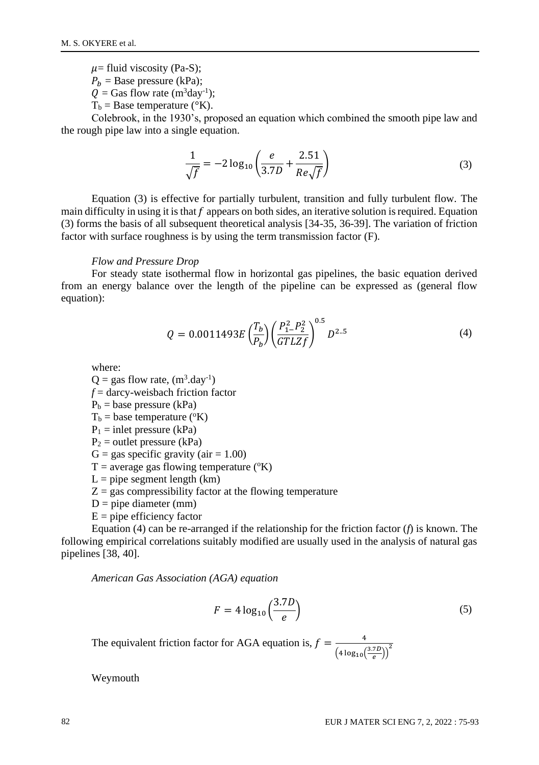$\mu$ = fluid viscosity (Pa-S);

 $P_h$  = Base pressure (kPa);

- $Q =$  Gas flow rate (m<sup>3</sup>day<sup>-1</sup>);
- $T_b$  = Base temperature ( $\rm{°K}$ ).

Colebrook, in the 1930's, proposed an equation which combined the smooth pipe law and the rough pipe law into a single equation.

$$
\frac{1}{\sqrt{f}} = -2\log_{10}\left(\frac{e}{3.7D} + \frac{2.51}{Re\sqrt{f}}\right)
$$
(3)

Equation (3) is effective for partially turbulent, transition and fully turbulent flow. The main difficulty in using it is that  $f$  appears on both sides, an iterative solution is required. Equation (3) forms the basis of all subsequent theoretical analysis [34-35, 36-39]. The variation of friction factor with surface roughness is by using the term transmission factor (F).

#### *Flow and Pressure Drop*

For steady state isothermal flow in horizontal gas pipelines, the basic equation derived from an energy balance over the length of the pipeline can be expressed as (general flow equation):

$$
Q = 0.0011493E \left(\frac{T_b}{P_b}\right) \left(\frac{P_1^2 - P_2^2}{GTLZf}\right)^{0.5} D^{2..5}
$$
 (4)

where:

 $Q = gas$  flow rate,  $(m^3 \text{.day}^{-1})$ 

- *f* = darcy-weisbach friction factor
- $P_b$  = base pressure (kPa)

 $T_b$  = base temperature ( $\rm ^oK$ )

 $P_1$  = inlet pressure (kPa)

 $P_2$  = outlet pressure (kPa)

 $G = gas$  specific gravity (air = 1.00)

- $T =$  average gas flowing temperature ( $(X)$ )
- $L =$  pipe segment length (km)
- $Z = gas$  compressibility factor at the flowing temperature
- $D =$  pipe diameter (mm)
- $E =$  pipe efficiency factor

Equation (4) can be re-arranged if the relationship for the friction factor (*f*) is known. The following empirical correlations suitably modified are usually used in the analysis of natural gas pipelines [38, 40].

*American Gas Association (AGA) equation* 

$$
F = 4\log_{10}\left(\frac{3.7D}{e}\right) \tag{5}
$$

The equivalent friction factor for AGA equation is,  $f = \frac{4}{\sqrt{3}}$  $\frac{4}{\left(4 \log_{10} \left(\frac{3.7D}{e}\right)\right)^2}$ 

Weymouth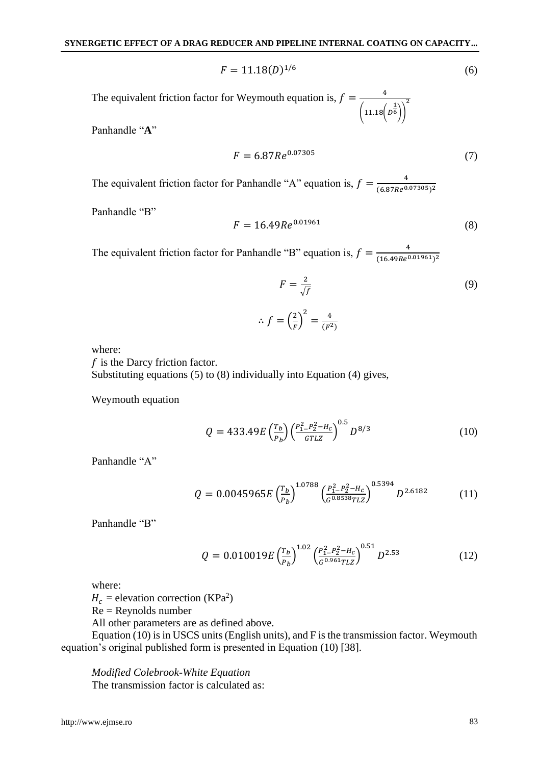$$
F = 11.18(D)^{1/6} \tag{6}
$$

The equivalent friction factor for Weymouth equation is,  $f = \frac{4}{\sqrt{3}}$  $(11.18(p^{\frac{1}{6}}))$ 

Panhandle "**A**"

$$
F = 6.87 Re0.07305
$$
 (7)

2

The equivalent friction factor for Panhandle "A" equation is,  $f = \frac{4}{(6.27 \times 9.9})$  $(6.87Re<sup>0.07305</sup>)<sup>2</sup>$ 

Panhandle "B"

$$
F = 16.49 Re0.01961
$$
 (8)

The equivalent friction factor for Panhandle "B" equation is,  $f = \frac{4}{(16.498c)^2}$  $(16.49Re<sup>0.01961</sup>)<sup>2</sup>$ 

$$
F = \frac{2}{\sqrt{f}}
$$
 (9)

$$
\therefore f = \left(\frac{2}{F}\right)^2 = \frac{4}{(F^2)}
$$

where:

 $f$  is the Darcy friction factor.

Substituting equations (5) to (8) individually into Equation (4) gives,

Weymouth equation

$$
Q = 433.49E \left(\frac{r_b}{P_b}\right) \left(\frac{P_1^2 - P_2^2 - H_c}{GTLZ}\right)^{0.5} D^{8/3}
$$
 (10)

Panhandle "A"

$$
Q = 0.0045965E \left(\frac{r_b}{p_b}\right)^{1.0788} \left(\frac{P_1^2 - P_2^2 - H_c}{G^{0.8538}TLZ}\right)^{0.5394} D^{2.6182} \tag{11}
$$

Panhandle "B"

$$
Q = 0.010019E \left(\frac{r_b}{P_b}\right)^{1.02} \left(\frac{P_1^2 - P_2^2 - H_c}{G^{0.961} T L Z}\right)^{0.51} D^{2.53} \tag{12}
$$

where:

 $H_c$  = elevation correction (KPa<sup>2</sup>)

Re = Reynolds number

All other parameters are as defined above.

Equation (10) is in USCS units (English units), and F is the transmission factor. Weymouth equation's original published form is presented in Equation (10) [38].

*Modified Colebrook-White Equation* The transmission factor is calculated as: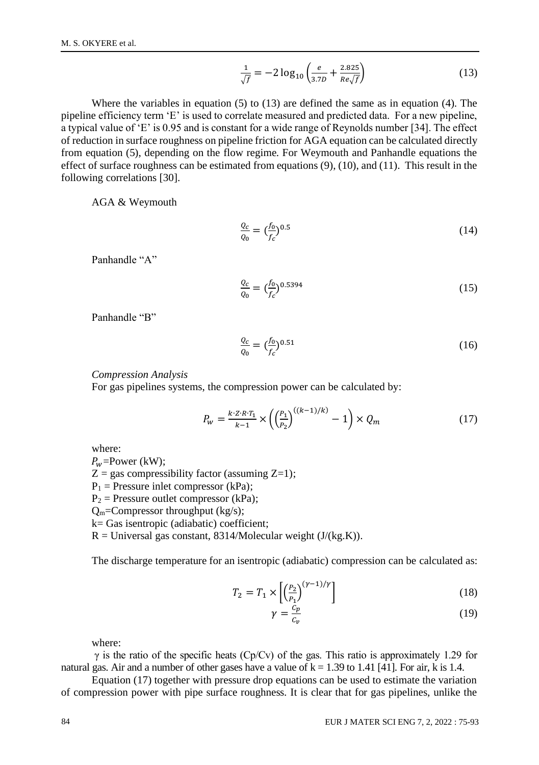$$
\frac{1}{\sqrt{f}} = -2\log_{10}\left(\frac{e}{3.7D} + \frac{2.825}{Re\sqrt{f}}\right)
$$
(13)

Where the variables in equation  $(5)$  to  $(13)$  are defined the same as in equation  $(4)$ . The pipeline efficiency term 'E' is used to correlate measured and predicted data. For a new pipeline, a typical value of 'E' is 0.95 and is constant for a wide range of Reynolds number [34]. The effect of reduction in surface roughness on pipeline friction for AGA equation can be calculated directly from equation (5), depending on the flow regime. For Weymouth and Panhandle equations the effect of surface roughness can be estimated from equations (9), (10), and (11). This result in the following correlations [30].

AGA & Weymouth

$$
\frac{Q_c}{Q_0} = (\frac{f_0}{f_c})^{0.5} \tag{14}
$$

Panhandle "A"

$$
\frac{Q_c}{Q_0} = \left(\frac{f_0}{f_c}\right)^{0.5394} \tag{15}
$$

Panhandle "B"

$$
\frac{Q_c}{Q_0} = \left(\frac{f_0}{f_c}\right)^{0.51} \tag{16}
$$

*Compression Analysis*

For gas pipelines systems, the compression power can be calculated by:

$$
P_w = \frac{k \cdot Z \cdot R \cdot T_1}{k - 1} \times \left( \left( \frac{P_1}{P_2} \right)^{((k - 1)/k)} - 1 \right) \times Q_m \tag{17}
$$

where:

 $P_w$ =Power (kW);  $Z = gas$  compressibility factor (assuming  $Z=1$ );  $P_1$  = Pressure inlet compressor (kPa);  $P_2$  = Pressure outlet compressor (kPa);  $Q_m$ =Compressor throughput (kg/s); k= Gas isentropic (adiabatic) coefficient;  $R =$  Universal gas constant, 8314/Molecular weight (J/(kg.K)).

The discharge temperature for an isentropic (adiabatic) compression can be calculated as:

$$
T_2 = T_1 \times \left[ \left( \frac{P_2}{P_1} \right)^{(\gamma - 1)/\gamma} \right] \tag{18}
$$

$$
\gamma = \frac{c_p}{c_v} \tag{19}
$$

where:

 $\gamma$  is the ratio of the specific heats (Cp/Cv) of the gas. This ratio is approximately 1.29 for natural gas. Air and a number of other gases have a value of k = 1.39 to 1.41 [41]. For air, k is 1.4.

Equation (17) together with pressure drop equations can be used to estimate the variation of compression power with pipe surface roughness. It is clear that for gas pipelines, unlike the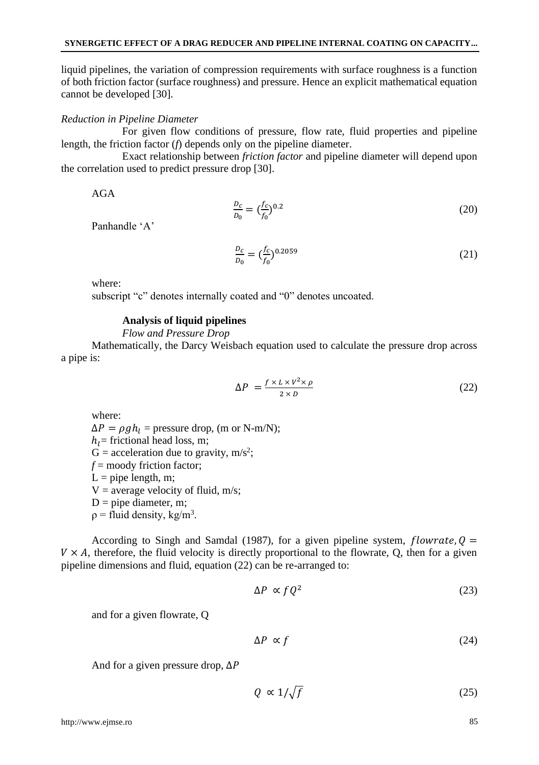liquid pipelines, the variation of compression requirements with surface roughness is a function of both friction factor (surface roughness) and pressure. Hence an explicit mathematical equation cannot be developed [30].

### *Reduction in Pipeline Diameter*

For given flow conditions of pressure, flow rate, fluid properties and pipeline length, the friction factor (*f*) depends only on the pipeline diameter.

Exact relationship between *friction factor* and pipeline diameter will depend upon the correlation used to predict pressure drop [30].

AGA

$$
\frac{D_c}{D_0} = \left(\frac{f_c}{f_0}\right)^{0.2} \tag{20}
$$

Panhandle 'A'

$$
\frac{D_c}{D_0} = \left(\frac{f_c}{f_0}\right)^{0.2059} \tag{21}
$$

where:

subscript "c" denotes internally coated and "0" denotes uncoated.

### **Analysis of liquid pipelines**

*Flow and Pressure Drop*

Mathematically, the Darcy Weisbach equation used to calculate the pressure drop across a pipe is:

$$
\Delta P = \frac{f \times L \times V^2 \times \rho}{2 \times D} \tag{22}
$$

where:

 $\Delta P = \rho g h_l$  = pressure drop, (m or N-m/N);

 $h_i$ = frictional head loss, m;

 $G =$  acceleration due to gravity, m/s<sup>2</sup>;

*f* = moody friction factor;

 $L =$  pipe length, m;

 $V =$  average velocity of fluid, m/s;

 $D =$  pipe diameter, m;

 $p =$  fluid density, kg/m<sup>3</sup>.

According to Singh and Samdal (1987), for a given pipeline system,  $flowrate, Q =$  $V \times A$ , therefore, the fluid velocity is directly proportional to the flowrate, Q, then for a given pipeline dimensions and fluid, equation (22) can be re-arranged to:

$$
\Delta P \propto f Q^2 \tag{23}
$$

and for a given flowrate, Q

$$
\Delta P \propto f \tag{24}
$$

And for a given pressure drop,  $\Delta P$ 

$$
Q \propto 1/\sqrt{f} \tag{25}
$$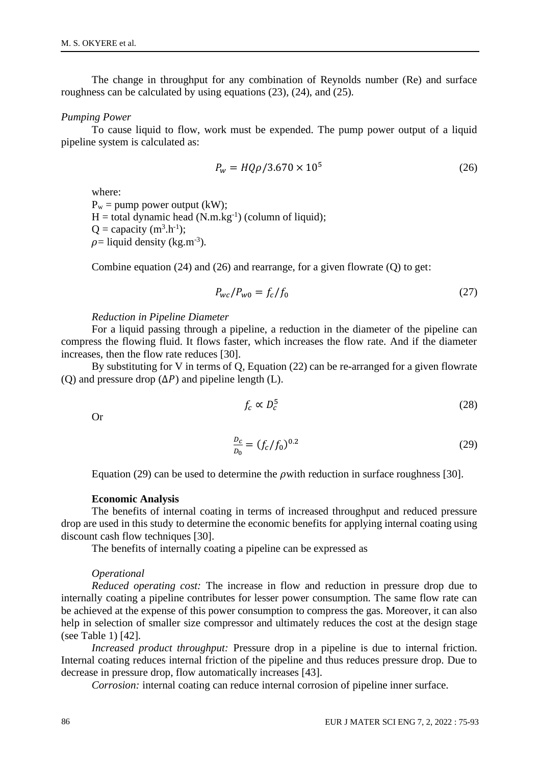The change in throughput for any combination of Reynolds number (Re) and surface roughness can be calculated by using equations (23), (24), and (25).

#### *Pumping Power*

To cause liquid to flow, work must be expended. The pump power output of a liquid pipeline system is calculated as:

$$
P_w = HQ\rho/3.670 \times 10^5 \tag{26}
$$

where:  $P_w =$  pump power output (kW);  $H =$  total dynamic head  $(N.m.kg^{-1})$  (column of liquid);  $Q =$  capacity (m<sup>3</sup>.h<sup>-1</sup>);  $\rho$ = liquid density (kg.m<sup>-3</sup>).

Combine equation (24) and (26) and rearrange, for a given flowrate (Q) to get:

$$
P_{wc}/P_{w0} = f_c/f_0 \tag{27}
$$

*Reduction in Pipeline Diameter*

For a liquid passing through a pipeline, a reduction in the diameter of the pipeline can compress the flowing fluid. It flows faster, which increases the flow rate. And if the diameter increases, then the flow rate reduces [30].

By substituting for V in terms of Q, Equation (22) can be re-arranged for a given flowrate (O) and pressure drop  $(\Delta P)$  and pipeline length (L).

$$
f_c \propto D_c^5 \tag{28}
$$

Or

$$
\frac{D_c}{D_0} = (f_c/f_0)^{0.2}
$$
 (29)

Equation (29) can be used to determine the *p* with reduction in surface roughness [30].

### **Economic Analysis**

The benefits of internal coating in terms of increased throughput and reduced pressure drop are used in this study to determine the economic benefits for applying internal coating using discount cash flow techniques [30].

The benefits of internally coating a pipeline can be expressed as

#### *Operational*

*Reduced operating cost:* The increase in flow and reduction in pressure drop due to internally coating a pipeline contributes for lesser power consumption. The same flow rate can be achieved at the expense of this power consumption to compress the gas. Moreover, it can also help in selection of smaller size compressor and ultimately reduces the cost at the design stage (see Table 1) [42].

*Increased product throughput:* Pressure drop in a pipeline is due to internal friction. Internal coating reduces internal friction of the pipeline and thus reduces pressure drop. Due to decrease in pressure drop, flow automatically increases [43].

*Corrosion:* internal coating can reduce internal corrosion of pipeline inner surface.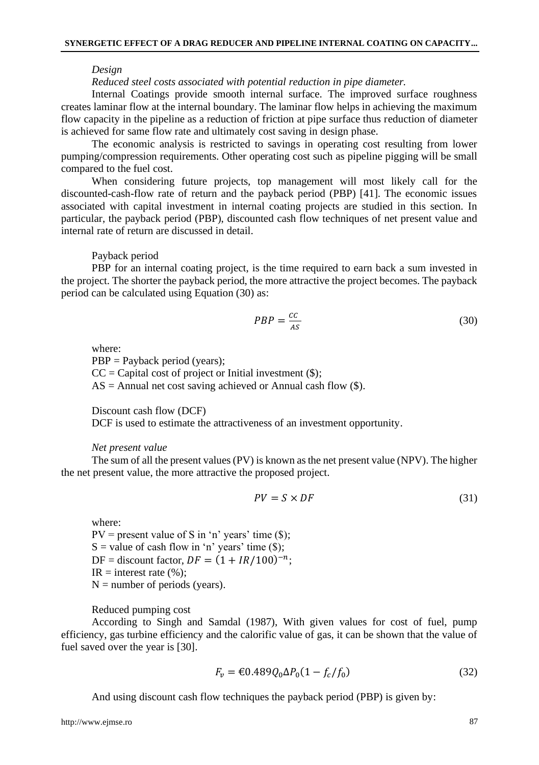#### *Design*

*Reduced steel costs associated with potential reduction in pipe diameter.* 

Internal Coatings provide smooth internal surface. The improved surface roughness creates laminar flow at the internal boundary. The laminar flow helps in achieving the maximum flow capacity in the pipeline as a reduction of friction at pipe surface thus reduction of diameter is achieved for same flow rate and ultimately cost saving in design phase.

The economic analysis is restricted to savings in operating cost resulting from lower pumping/compression requirements. Other operating cost such as pipeline pigging will be small compared to the fuel cost.

When considering future projects, top management will most likely call for the discounted-cash-flow rate of return and the payback period (PBP) [41]. The economic issues associated with capital investment in internal coating projects are studied in this section. In particular, the payback period (PBP), discounted cash flow techniques of net present value and internal rate of return are discussed in detail.

#### Payback period

PBP for an internal coating project, is the time required to earn back a sum invested in the project. The shorter the payback period, the more attractive the project becomes. The payback period can be calculated using Equation (30) as:

$$
PBP = \frac{cc}{As} \tag{30}
$$

where:

PBP = Payback period (years);  $CC = Capital cost of project or Initial investment ($);$  $AS =$  Annual net cost saving achieved or Annual cash flow  $(\$)$ .

Discount cash flow (DCF)

DCF is used to estimate the attractiveness of an investment opportunity.

#### *Net present value*

The sum of all the present values (PV) is known as the net present value (NPV). The higher the net present value, the more attractive the proposed project.

$$
PV = S \times DF \tag{31}
$$

where:

 $PV = present value of S in 'n' years' time ($\);$  $S =$  value of cash flow in 'n' years' time (\$); DF = discount factor,  $DF = (1 + IR/100)^{-n}$ ;  $IR = interest rate (%)$ ;  $N =$  number of periods (years).

Reduced pumping cost

According to Singh and Samdal (1987), With given values for cost of fuel, pump efficiency, gas turbine efficiency and the calorific value of gas, it can be shown that the value of fuel saved over the year is [30].

$$
F_v = \text{\textsterling}0.489 Q_0 \Delta P_0 (1 - f_c / f_0) \tag{32}
$$

And using discount cash flow techniques the payback period (PBP) is given by: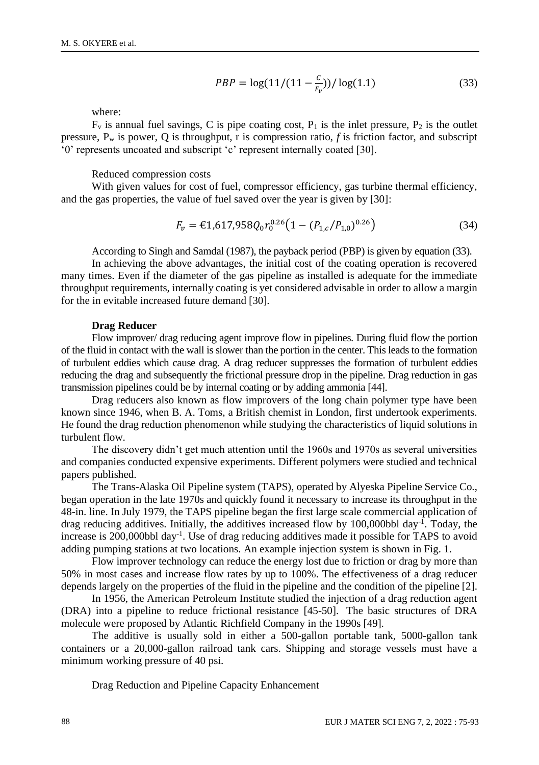$$
PBP = \log(11/(11 - \frac{c}{F_v})) / \log(1.1)
$$
\n(33)

where:

 $F_v$  is annual fuel savings, C is pipe coating cost,  $P_1$  is the inlet pressure,  $P_2$  is the outlet pressure, P<sup>w</sup> is power, Q is throughput, r is compression ratio, *f* is friction factor, and subscript '0' represents uncoated and subscript 'c' represent internally coated [30].

### Reduced compression costs

With given values for cost of fuel, compressor efficiency, gas turbine thermal efficiency, and the gas properties, the value of fuel saved over the year is given by [30]:

$$
F_v = \text{\textsterling}1,617,958Q_0r_0^{0.26}\left(1 - \left(P_{1,c}/P_{1,0}\right)^{0.26}\right) \tag{34}
$$

According to Singh and Samdal (1987), the payback period (PBP) is given by equation (33).

In achieving the above advantages, the initial cost of the coating operation is recovered many times. Even if the diameter of the gas pipeline as installed is adequate for the immediate throughput requirements, internally coating is yet considered advisable in order to allow a margin for the in evitable increased future demand [30].

#### **Drag Reducer**

Flow improver/ drag reducing agent improve flow in pipelines. During fluid flow the portion of the fluid in contact with the wall is slower than the portion in the center. This leads to the formation of turbulent eddies which cause drag. A drag reducer suppresses the formation of turbulent eddies reducing the drag and subsequently the frictional pressure drop in the pipeline. Drag reduction in gas transmission pipelines could be by internal coating or by adding ammonia [44].

Drag reducers also known as flow improvers of the long chain polymer type have been known since 1946, when B. A. Toms, a British chemist in London, first undertook experiments. He found the drag reduction phenomenon while studying the characteristics of liquid solutions in turbulent flow.

The discovery didn't get much attention until the 1960s and 1970s as several universities and companies conducted expensive experiments. Different polymers were studied and technical papers published.

The Trans-Alaska Oil Pipeline system (TAPS), operated by Alyeska Pipeline Service Co., began operation in the late 1970s and quickly found it necessary to increase its throughput in the 48-in. line. In July 1979, the TAPS pipeline began the first large scale commercial application of drag reducing additives. Initially, the additives increased flow by 100,000bbl day<sup>-1</sup>. Today, the increase is 200,000bbl day-1 . Use of drag reducing additives made it possible for TAPS to avoid adding pumping stations at two locations. An example injection system is shown in Fig. 1.

Flow improver technology can reduce the energy lost due to friction or drag by more than 50% in most cases and increase flow rates by up to 100%. The effectiveness of a drag reducer depends largely on the properties of the fluid in the pipeline and the condition of the pipeline [2].

In 1956, the American Petroleum Institute studied the injection of a drag reduction agent (DRA) into a pipeline to reduce frictional resistance [45-50]. The basic structures of DRA molecule were proposed by Atlantic Richfield Company in the 1990s [49].

The additive is usually sold in either a 500-gallon portable tank, 5000-gallon tank containers or a 20,000-gallon railroad tank cars. Shipping and storage vessels must have a minimum working pressure of 40 psi.

Drag Reduction and Pipeline Capacity Enhancement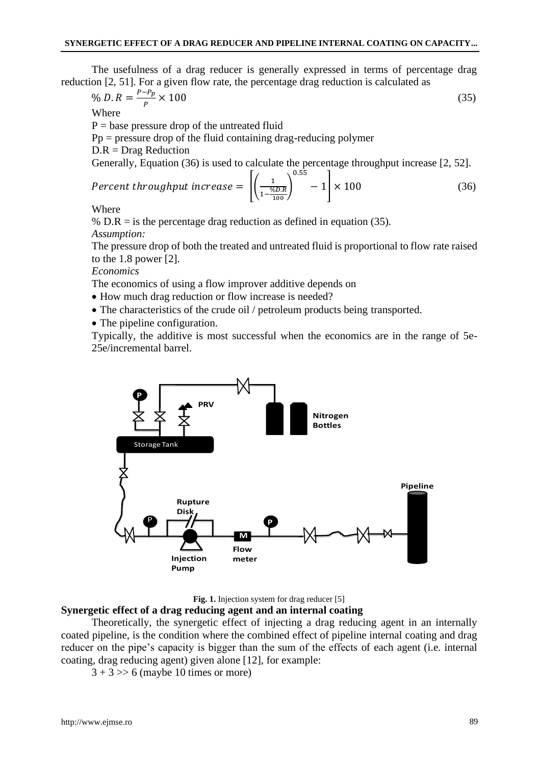The usefulness of a drag reducer is generally expressed in terms of percentage drag reduction [2, 51]. For a given flow rate, the percentage drag reduction is calculated as

$$
\% D. R = \frac{P - P_p}{P} \times 100 \tag{35}
$$

Where

 $P =$  base pressure drop of the untreated fluid

 $Pp = pressure drop of the fluid containing drag-reducing polymer$ 

 $D.R = Drag$  Reduction

Generally, Equation (36) is used to calculate the percentage throughput increase [2, 52].

$$
Percent \ throughput \ increase = \left[ \left( \frac{1}{1 - \frac{\%D.R}{100}} \right)^{0.55} - 1 \right] \times 100 \tag{36}
$$

Where

%  $D.R =$  is the percentage drag reduction as defined in equation (35). *Assumption:*

The pressure drop of both the treated and untreated fluid is proportional to flow rate raised to the 1.8 power [2].

*Economics*

The economics of using a flow improver additive depends on

- How much drag reduction or flow increase is needed?
- The characteristics of the crude oil / petroleum products being transported.
- The pipeline configuration.

Typically, the additive is most successful when the economics are in the range of 5e-25e/incremental barrel.



Fig. 1. Injection system for drag reducer [5]

### **Synergetic effect of a drag reducing agent and an internal coating**

Theoretically, the synergetic effect of injecting a drag reducing agent in an internally coated pipeline, is the condition where the combined effect of pipeline internal coating and drag reducer on the pipe's capacity is bigger than the sum of the effects of each agent (i.e. internal coating, drag reducing agent) given alone [12], for example:

 $3 + 3 \gg 6$  (maybe 10 times or more)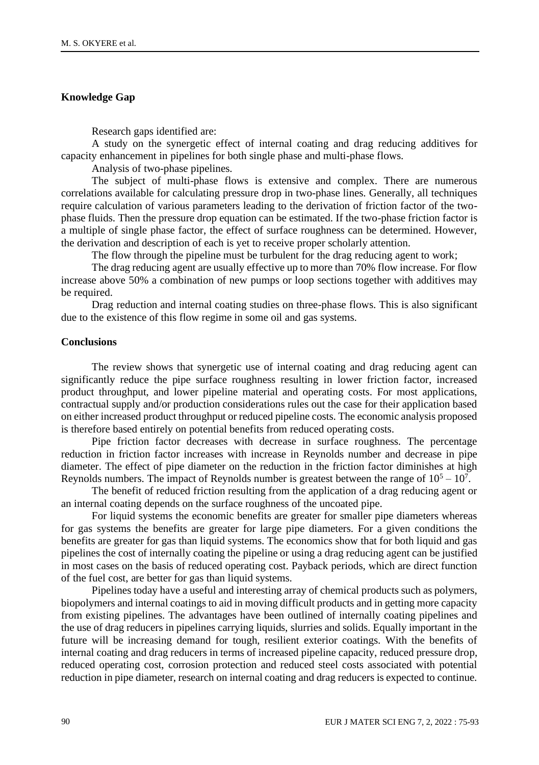# **Knowledge Gap**

Research gaps identified are:

A study on the synergetic effect of internal coating and drag reducing additives for capacity enhancement in pipelines for both single phase and multi-phase flows.

Analysis of two-phase pipelines.

The subject of multi-phase flows is extensive and complex. There are numerous correlations available for calculating pressure drop in two-phase lines. Generally, all techniques require calculation of various parameters leading to the derivation of friction factor of the twophase fluids. Then the pressure drop equation can be estimated. If the two-phase friction factor is a multiple of single phase factor, the effect of surface roughness can be determined. However, the derivation and description of each is yet to receive proper scholarly attention.

The flow through the pipeline must be turbulent for the drag reducing agent to work;

The drag reducing agent are usually effective up to more than 70% flow increase. For flow increase above 50% a combination of new pumps or loop sections together with additives may be required.

Drag reduction and internal coating studies on three-phase flows. This is also significant due to the existence of this flow regime in some oil and gas systems.

#### **Conclusions**

The review shows that synergetic use of internal coating and drag reducing agent can significantly reduce the pipe surface roughness resulting in lower friction factor, increased product throughput, and lower pipeline material and operating costs. For most applications, contractual supply and/or production considerations rules out the case for their application based on either increased product throughput or reduced pipeline costs. The economic analysis proposed is therefore based entirely on potential benefits from reduced operating costs.

Pipe friction factor decreases with decrease in surface roughness. The percentage reduction in friction factor increases with increase in Reynolds number and decrease in pipe diameter. The effect of pipe diameter on the reduction in the friction factor diminishes at high Reynolds numbers. The impact of Reynolds number is greatest between the range of  $10^5 - 10^7$ .

The benefit of reduced friction resulting from the application of a drag reducing agent or an internal coating depends on the surface roughness of the uncoated pipe.

For liquid systems the economic benefits are greater for smaller pipe diameters whereas for gas systems the benefits are greater for large pipe diameters. For a given conditions the benefits are greater for gas than liquid systems. The economics show that for both liquid and gas pipelines the cost of internally coating the pipeline or using a drag reducing agent can be justified in most cases on the basis of reduced operating cost. Payback periods, which are direct function of the fuel cost, are better for gas than liquid systems.

Pipelines today have a useful and interesting array of chemical products such as polymers, biopolymers and internal coatings to aid in moving difficult products and in getting more capacity from existing pipelines. The advantages have been outlined of internally coating pipelines and the use of drag reducers in pipelines carrying liquids, slurries and solids. Equally important in the future will be increasing demand for tough, resilient exterior coatings. With the benefits of internal coating and drag reducers in terms of increased pipeline capacity, reduced pressure drop, reduced operating cost, corrosion protection and reduced steel costs associated with potential reduction in pipe diameter, research on internal coating and drag reducers is expected to continue.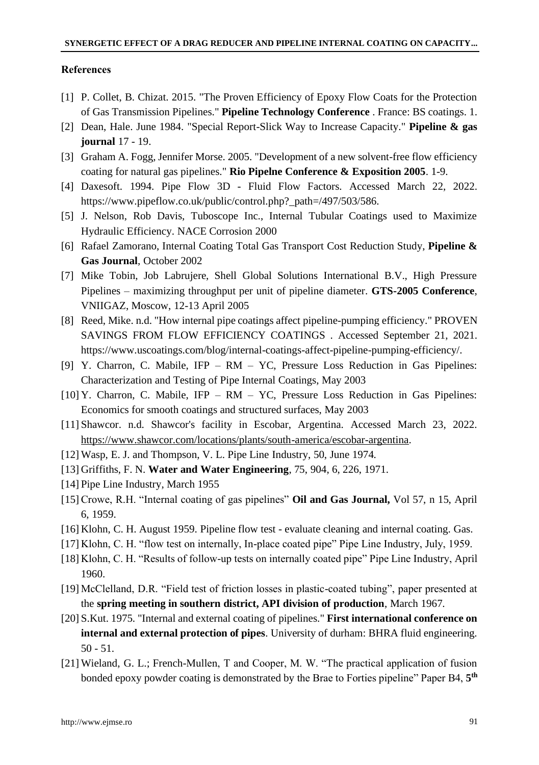### **References**

- [1] P. Collet, B. Chizat. 2015. "The Proven Efficiency of Epoxy Flow Coats for the Protection of Gas Transmission Pipelines." **Pipeline Technology Conference** . France: BS coatings. 1.
- [2] Dean, Hale. June 1984. "Special Report-Slick Way to Increase Capacity." **Pipeline & gas journal** 17 - 19.
- [3] Graham A. Fogg, Jennifer Morse. 2005. "Development of a new solvent-free flow efficiency coating for natural gas pipelines." **Rio Pipelne Conference & Exposition 2005**. 1-9.
- [4] Daxesoft. 1994. Pipe Flow 3D Fluid Flow Factors. Accessed March 22, 2022. https://www.pipeflow.co.uk/public/control.php?\_path=/497/503/586.
- [5] J. Nelson, Rob Davis, Tuboscope Inc., Internal Tubular Coatings used to Maximize Hydraulic Efficiency. NACE Corrosion 2000
- [6] Rafael Zamorano, Internal Coating Total Gas Transport Cost Reduction Study, **Pipeline & Gas Journal**, October 2002
- [7] Mike Tobin, Job Labrujere, Shell Global Solutions International B.V., High Pressure Pipelines – maximizing throughput per unit of pipeline diameter. **GTS-2005 Conference**, VNIIGAZ, Moscow, 12-13 April 2005
- [8] Reed, Mike. n.d. "How internal pipe coatings affect pipeline-pumping efficiency." PROVEN SAVINGS FROM FLOW EFFICIENCY COATINGS . Accessed September 21, 2021. https://www.uscoatings.com/blog/internal-coatings-affect-pipeline-pumping-efficiency/.
- [9] Y. Charron, C. Mabile, IFP RM YC, Pressure Loss Reduction in Gas Pipelines: Characterization and Testing of Pipe Internal Coatings, May 2003
- [10] Y. Charron, C. Mabile, IFP RM YC, Pressure Loss Reduction in Gas Pipelines: Economics for smooth coatings and structured surfaces, May 2003
- [11]Shawcor. n.d. Shawcor's facility in Escobar, Argentina. Accessed March 23, 2022. [https://www.shawcor.com/locations/plants/south-america/escobar-argentina.](https://www.shawcor.com/locations/plants/south-america/escobar-argentina)
- [12] Wasp, E. J. and Thompson, V. L. Pipe Line Industry, 50, June 1974.
- [13] Griffiths, F. N. **Water and Water Engineering**, 75, 904, 6, 226, 1971.
- [14] Pipe Line Industry, March 1955
- [15] Crowe, R.H. "Internal coating of gas pipelines" **Oil and Gas Journal,** Vol 57, n 15, April 6, 1959.
- [16] Klohn, C. H. August 1959. Pipeline flow test evaluate cleaning and internal coating. Gas.
- [17] Klohn, C. H. "flow test on internally, In-place coated pipe" Pipe Line Industry, July, 1959.
- [18] Klohn, C. H. "Results of follow-up tests on internally coated pipe" Pipe Line Industry, April 1960.
- [19] McClelland, D.R. "Field test of friction losses in plastic-coated tubing", paper presented at the **spring meeting in southern district, API division of production**, March 1967.
- [20]S.Kut. 1975. "Internal and external coating of pipelines." **First international conference on internal and external protection of pipes**. University of durham: BHRA fluid engineering. 50 - 51.
- [21] Wieland, G. L.; French-Mullen, T and Cooper, M. W. "The practical application of fusion bonded epoxy powder coating is demonstrated by the Brae to Forties pipeline" Paper B4, **5 th**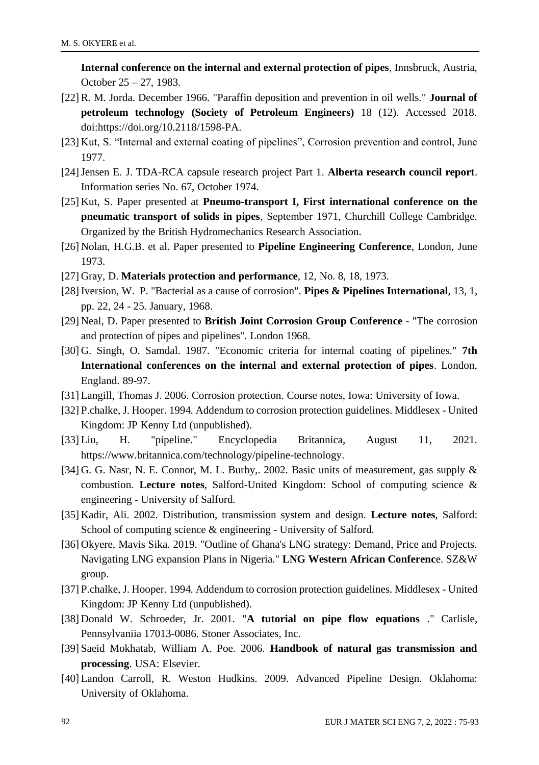**Internal conference on the internal and external protection of pipes**, Innsbruck, Austria, October 25 – 27, 1983.

- [22] R. M. Jorda. December 1966. "Paraffin deposition and prevention in oil wells." **Journal of petroleum technology (Society of Petroleum Engineers)** 18 (12). Accessed 2018. doi:https://doi.org/10.2118/1598-PA.
- [23] Kut, S. "Internal and external coating of pipelines", Corrosion prevention and control, June 1977.
- [24]Jensen E. J. TDA-RCA capsule research project Part 1. **Alberta research council report**. Information series No. 67, October 1974.
- [25] Kut, S. Paper presented at **Pneumo-transport I, First international conference on the pneumatic transport of solids in pipes**, September 1971, Churchill College Cambridge. Organized by the British Hydromechanics Research Association.
- [26] Nolan, H.G.B. et al. Paper presented to **Pipeline Engineering Conference**, London, June 1973.
- [27] Gray, D. **Materials protection and performance**, 12, No. 8, 18, 1973.
- [28] Iversion, W. P. "Bacterial as a cause of corrosion". **Pipes & Pipelines International**, 13, 1, pp. 22, 24 - 25. January, 1968.
- [29] Neal, D. Paper presented to **British Joint Corrosion Group Conference** "The corrosion and protection of pipes and pipelines". London 1968.
- [30] G. Singh, O. Samdal. 1987. "Economic criteria for internal coating of pipelines." **7th International conferences on the internal and external protection of pipes**. London, England. 89-97.
- [31] Langill, Thomas J. 2006. Corrosion protection. Course notes, Iowa: University of Iowa.
- [32]P.chalke, J. Hooper. 1994. Addendum to corrosion protection guidelines. Middlesex United Kingdom: JP Kenny Ltd (unpublished).
- [33] Liu, H. "pipeline." Encyclopedia Britannica, August 11, 2021. https://www.britannica.com/technology/pipeline-technology.
- [34] G. G. Nasr, N. E. Connor, M. L. Burby,. 2002. Basic units of measurement, gas supply & combustion. **Lecture notes**, Salford-United Kingdom: School of computing science & engineering - University of Salford.
- [35] Kadir, Ali. 2002. Distribution, transmission system and design. **Lecture notes**, Salford: School of computing science & engineering - University of Salford.
- [36] Okyere, Mavis Sika. 2019. "Outline of Ghana's LNG strategy: Demand, Price and Projects. Navigating LNG expansion Plans in Nigeria." **LNG Western African Conferenc**e. SZ&W group.
- [37]P.chalke, J. Hooper. 1994. Addendum to corrosion protection guidelines. Middlesex United Kingdom: JP Kenny Ltd (unpublished).
- [38] Donald W. Schroeder, Jr. 2001. "**A tutorial on pipe flow equations** ." Carlisle, Pennsylvaniia 17013-0086. Stoner Associates, Inc.
- [39]Saeid Mokhatab, William A. Poe. 2006. **Handbook of natural gas transmission and processing**. USA: Elsevier.
- [40] Landon Carroll, R. Weston Hudkins. 2009. Advanced Pipeline Design. Oklahoma: University of Oklahoma.